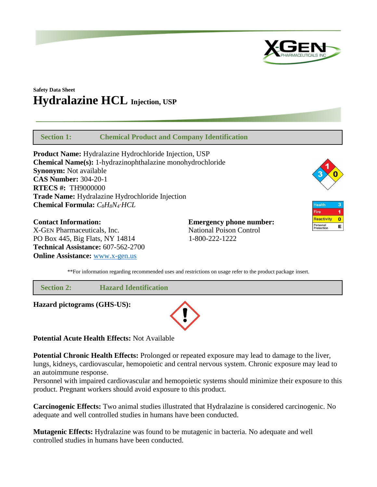

# **Safety Data Sheet Hydralazine HCL Injection, USP**

 **Section 1: Chemical Product and Company Identification**

**Product Name:** Hydralazine Hydrochloride Injection, USP **Chemical Name(s):** 1-hydrazinophthalazine monohydrochloride **Synonym:** Not available **CAS Number:** 304-20-1 **RTECS #:** TH9000000 **Trade Name:** Hydralazine Hydrochloride Injection **Chemical Formula:** *C8H8N4·HCL*

**Contact Information: Emergency phone number:** X-GEN Pharmaceuticals, Inc. National Poison Control PO Box 445, Big Flats, NY 14814 1-800-222-1222 **Technical Assistance:** 607-562-2700 **Online Assistance:** [www.x-gen.us](http://www.x-gen.us/)



| <b>Health</b>          |  |
|------------------------|--|
| <b>Fire</b>            |  |
| <b>Reactivity</b>      |  |
| Personal<br>Protection |  |

\*\*For information regarding recommended uses and restrictions on usage refer to the product package insert.

 **Section 2: Hazard Identification**

**Hazard pictograms (GHS-US):**



**Potential Acute Health Effects:** Not Available

**Potential Chronic Health Effects:** Prolonged or repeated exposure may lead to damage to the liver, lungs, kidneys, cardiovascular, hemopoietic and central nervous system. Chronic exposure may lead to an autoimmune response.

Personnel with impaired cardiovascular and hemopoietic systems should minimize their exposure to this product. Pregnant workers should avoid exposure to this product.

**Carcinogenic Effects:** Two animal studies illustrated that Hydralazine is considered carcinogenic. No adequate and well controlled studies in humans have been conducted.

**Mutagenic Effects:** Hydralazine was found to be mutagenic in bacteria. No adequate and well controlled studies in humans have been conducted.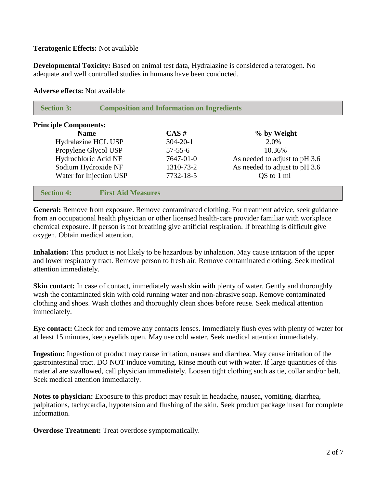# **Teratogenic Effects:** Not available

**Developmental Toxicity:** Based on animal test data, Hydralazine is considered a teratogen. No adequate and well controlled studies in humans have been conducted.

#### **Adverse effects:** Not available

| <b>Section 3:</b>            | <b>Composition and Information on Ingredients</b> |                |                               |
|------------------------------|---------------------------------------------------|----------------|-------------------------------|
| <b>Principle Components:</b> |                                                   |                |                               |
| <b>Name</b>                  |                                                   | $CAS \#$       | % by Weight                   |
|                              | Hydralazine HCL USP                               | $304 - 20 - 1$ | 2.0%                          |
|                              | Propylene Glycol USP                              | $57 - 55 - 6$  | 10.36%                        |
|                              | Hydrochloric Acid NF                              | 7647-01-0      | As needed to adjust to pH 3.6 |
|                              | Sodium Hydroxide NF                               | 1310-73-2      | As needed to adjust to pH 3.6 |
|                              | Water for Injection USP                           | 7732-18-5      | QS to 1 ml                    |
| <b>Section 4:</b>            | <b>First Aid Measures</b>                         |                |                               |

General: Remove from exposure. Remove contaminated clothing. For treatment advice, seek guidance from an occupational health physician or other licensed health-care provider familiar with workplace chemical exposure. If person is not breathing give artificial respiration. If breathing is difficult give oxygen. Obtain medical attention.

**Inhalation:** This product is not likely to be hazardous by inhalation. May cause irritation of the upper and lower respiratory tract. Remove person to fresh air. Remove contaminated clothing. Seek medical attention immediately.

**Skin contact:** In case of contact, immediately wash skin with plenty of water. Gently and thoroughly wash the contaminated skin with cold running water and non-abrasive soap. Remove contaminated clothing and shoes. Wash clothes and thoroughly clean shoes before reuse. Seek medical attention immediately.

**Eye contact:** Check for and remove any contacts lenses. Immediately flush eyes with plenty of water for at least 15 minutes, keep eyelids open. May use cold water. Seek medical attention immediately.

**Ingestion:** Ingestion of product may cause irritation, nausea and diarrhea. May cause irritation of the gastrointestinal tract. DO NOT induce vomiting. Rinse mouth out with water. If large quantities of this material are swallowed, call physician immediately. Loosen tight clothing such as tie, collar and/or belt. Seek medical attention immediately.

**Notes to physician:** Exposure to this product may result in headache, nausea, vomiting, diarrhea, palpitations, tachycardia, hypotension and flushing of the skin. Seek product package insert for complete information.

**Overdose Treatment:** Treat overdose symptomatically.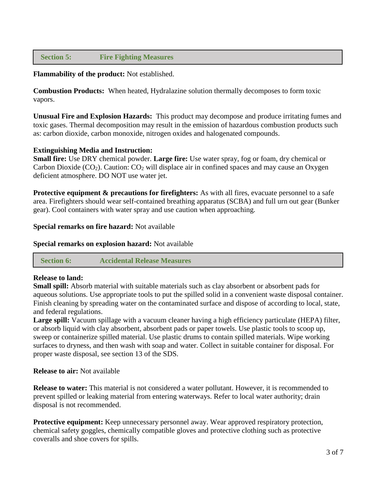# **Section 5: Fire Fighting Measures**

**Flammability of the product:** Not established.

**Combustion Products:** When heated, Hydralazine solution thermally decomposes to form toxic vapors.

**Unusual Fire and Explosion Hazards:** This product may decompose and produce irritating fumes and toxic gases. Thermal decomposition may result in the emission of hazardous combustion products such as: carbon dioxide, carbon monoxide, nitrogen oxides and halogenated compounds.

### **Extinguishing Media and Instruction:**

**Small fire:** Use DRY chemical powder. **Large fire:** Use water spray, fog or foam, dry chemical or Carbon Dioxide  $(CO_2)$ . Caution:  $CO_2$  will displace air in confined spaces and may cause an Oxygen deficient atmosphere. DO NOT use water jet.

**Protective equipment & precautions for firefighters:** As with all fires, evacuate personnel to a safe area. Firefighters should wear self-contained breathing apparatus (SCBA) and full urn out gear (Bunker gear). Cool containers with water spray and use caution when approaching.

#### **Special remarks on fire hazard:** Not available

**Special remarks on explosion hazard:** Not available

 **Section 6: Accidental Release Measures**

#### **Release to land:**

**Small spill:** Absorb material with suitable materials such as clay absorbent or absorbent pads for aqueous solutions. Use appropriate tools to put the spilled solid in a convenient waste disposal container. Finish cleaning by spreading water on the contaminated surface and dispose of according to local, state, and federal regulations.

**Large spill:** Vacuum spillage with a vacuum cleaner having a high efficiency particulate (HEPA) filter, or absorb liquid with clay absorbent, absorbent pads or paper towels. Use plastic tools to scoop up, sweep or containerize spilled material. Use plastic drums to contain spilled materials. Wipe working surfaces to dryness, and then wash with soap and water. Collect in suitable container for disposal. For proper waste disposal, see section 13 of the SDS.

#### **Release to air:** Not available

**Release to water:** This material is not considered a water pollutant. However, it is recommended to prevent spilled or leaking material from entering waterways. Refer to local water authority; drain disposal is not recommended.

**Protective equipment:** Keep unnecessary personnel away. Wear approved respiratory protection, chemical safety goggles, chemically compatible gloves and protective clothing such as protective coveralls and shoe covers for spills.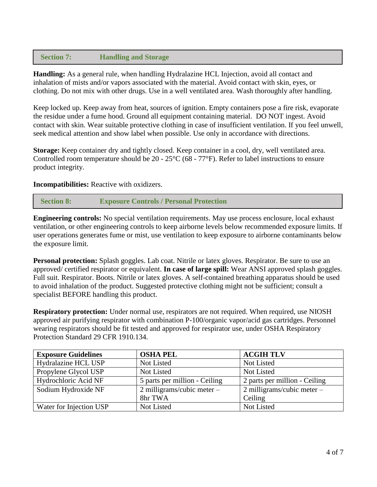# **Section 7: Handling and Storage**

**Handling:** As a general rule, when handling Hydralazine HCL Injection, avoid all contact and inhalation of mists and/or vapors associated with the material. Avoid contact with skin, eyes, or clothing. Do not mix with other drugs. Use in a well ventilated area. Wash thoroughly after handling.

Keep locked up. Keep away from heat, sources of ignition. Empty containers pose a fire risk, evaporate the residue under a fume hood. Ground all equipment containing material. DO NOT ingest. Avoid contact with skin. Wear suitable protective clothing in case of insufficient ventilation. If you feel unwell, seek medical attention and show label when possible. Use only in accordance with directions.

**Storage:** Keep container dry and tightly closed. Keep container in a cool, dry, well ventilated area. Controlled room temperature should be 20 - 25°C (68 - 77°F). Refer to label instructions to ensure product integrity.

# **Incompatibilities:** Reactive with oxidizers.

```
 Section 8: Exposure Controls / Personal Protection
```
**Engineering controls:** No special ventilation requirements. May use process enclosure, local exhaust ventilation, or other engineering controls to keep airborne levels below recommended exposure limits. If user operations generates fume or mist, use ventilation to keep exposure to airborne contaminants below the exposure limit.

**Personal protection:** Splash goggles. Lab coat. Nitrile or latex gloves. Respirator. Be sure to use an approved/ certified respirator or equivalent. **In case of large spill:** Wear ANSI approved splash goggles. Full suit. Respirator. Boots. Nitrile or latex gloves. A self-contained breathing apparatus should be used to avoid inhalation of the product. Suggested protective clothing might not be sufficient; consult a specialist BEFORE handling this product.

**Respiratory protection:** Under normal use, respirators are not required. When required, use NIOSH approved air purifying respirator with combination P-100/organic vapor/acid gas cartridges. Personnel wearing respirators should be fit tested and approved for respirator use, under OSHA Respiratory Protection Standard 29 CFR 1910.134.

| <b>Exposure Guidelines</b> | <b>OSHA PEL</b>               | <b>ACGIH TLV</b>               |
|----------------------------|-------------------------------|--------------------------------|
| Hydralazine HCL USP        | Not Listed                    | Not Listed                     |
| Propylene Glycol USP       | Not Listed                    | Not Listed                     |
| Hydrochloric Acid NF       | 5 parts per million - Ceiling | 2 parts per million - Ceiling  |
| Sodium Hydroxide NF        | 2 milligrams/cubic meter $-$  | $2$ milligrams/cubic meter $-$ |
|                            | 8hr TWA                       | Ceiling                        |
| Water for Injection USP    | Not Listed                    | Not Listed                     |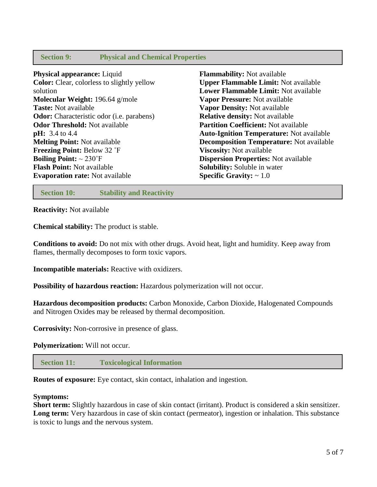# **Section 9: Physical and Chemical Properties**

**Physical appearance:** Liquid **Color:** Clear, colorless to slightly yellow solution **Molecular Weight:** 196.64 g/mole **Taste:** Not available **Odor:** Characteristic odor (i.e. parabens) **Odor Threshold:** Not available **pH:** 3.4 to 4.4 **Melting Point:** Not available **Freezing Point:** Below 32 ˚F **Boiling Point:** ~ 230˚F **Flash Point:** Not available **Evaporation rate:** Not available **Flammability:** Not available **Upper Flammable Limit:** Not available **Lower Flammable Limit:** Not available **Vapor Pressure:** Not available **Vapor Density:** Not available **Relative density:** Not available **Partition Coefficient:** Not available **Auto-Ignition Temperature:** Not available **Decomposition Temperature:** Not available **Viscosity:** Not available **Dispersion Properties:** Not available **Solubility:** Soluble in water **Specific Gravity:** ~ 1.0

 **Section 10: Stability and Reactivity**

**Reactivity:** Not available

**Chemical stability:** The product is stable.

**Conditions to avoid:** Do not mix with other drugs. Avoid heat, light and humidity. Keep away from flames, thermally decomposes to form toxic vapors.

**Incompatible materials:** Reactive with oxidizers.

**Possibility of hazardous reaction:** Hazardous polymerization will not occur.

**Hazardous decomposition products:** Carbon Monoxide, Carbon Dioxide, Halogenated Compounds and Nitrogen Oxides may be released by thermal decomposition.

**Corrosivity:** Non-corrosive in presence of glass.

**Polymerization:** Will not occur.

 **Section 11: Toxicological Information**

**Routes of exposure:** Eye contact, skin contact, inhalation and ingestion.

### **Symptoms:**

**Short term:** Slightly hazardous in case of skin contact (irritant). Product is considered a skin sensitizer. Long term: Very hazardous in case of skin contact (permeator), ingestion or inhalation. This substance is toxic to lungs and the nervous system.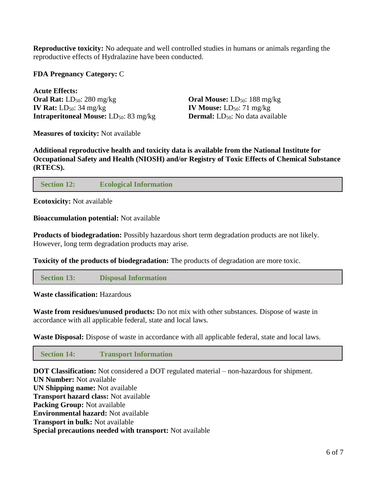**Reproductive toxicity:** No adequate and well controlled studies in humans or animals regarding the reproductive effects of Hydralazine have been conducted.

## **FDA Pregnancy Category:** C

**Acute Effects: Oral Rat:** LD<sub>50</sub>: 280 mg/kg **Oral Mouse:** LD<sub>50</sub>: 188 mg/kg **IV Rat:**  $LD_{50}$ : 34 mg/kg **IV Mouse:**  $LD_{50}$ : 71 mg/kg **Intraperitoneal Mouse:** LD<sub>50</sub>: 83 mg/kg **Dermal:** LD<sub>50</sub>: No data available

**Measures of toxicity:** Not available

**Additional reproductive health and toxicity data is available from the National Institute for Occupational Safety and Health (NIOSH) and/or Registry of Toxic Effects of Chemical Substance (RTECS).**

# **Section 12: Ecological Information**

**Ecotoxicity:** Not available

### **Bioaccumulation potential:** Not available

**Products of biodegradation:** Possibly hazardous short term degradation products are not likely. However, long term degradation products may arise.

**Toxicity of the products of biodegradation:** The products of degradation are more toxic.

 **Section 13: Disposal Information**

**Waste classification:** Hazardous

**Waste from residues/unused products:** Do not mix with other substances. Dispose of waste in accordance with all applicable federal, state and local laws.

**Waste Disposal:** Dispose of waste in accordance with all applicable federal, state and local laws.

 **Section 14: Transport Information**

**DOT Classification:** Not considered a DOT regulated material – non-hazardous for shipment. **UN Number:** Not available **UN Shipping name:** Not available **Transport hazard class:** Not available **Packing Group:** Not available **Environmental hazard:** Not available **Transport in bulk:** Not available **Special precautions needed with transport:** Not available